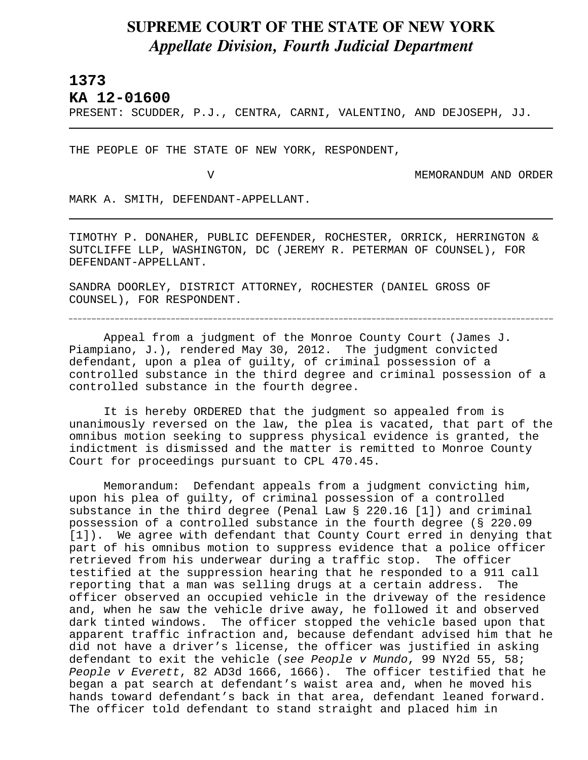## **SUPREME COURT OF THE STATE OF NEW YORK** *Appellate Division, Fourth Judicial Department*

## **1373**

L

**KA 12-01600** 

PRESENT: SCUDDER, P.J., CENTRA, CARNI, VALENTINO, AND DEJOSEPH, JJ.

THE PEOPLE OF THE STATE OF NEW YORK, RESPONDENT,

V MEMORANDUM AND ORDER

MARK A. SMITH, DEFENDANT-APPELLANT.

TIMOTHY P. DONAHER, PUBLIC DEFENDER, ROCHESTER, ORRICK, HERRINGTON & SUTCLIFFE LLP, WASHINGTON, DC (JEREMY R. PETERMAN OF COUNSEL), FOR DEFENDANT-APPELLANT.

SANDRA DOORLEY, DISTRICT ATTORNEY, ROCHESTER (DANIEL GROSS OF COUNSEL), FOR RESPONDENT.

Appeal from a judgment of the Monroe County Court (James J. Piampiano, J.), rendered May 30, 2012. The judgment convicted defendant, upon a plea of guilty, of criminal possession of a controlled substance in the third degree and criminal possession of a controlled substance in the fourth degree.

It is hereby ORDERED that the judgment so appealed from is unanimously reversed on the law, the plea is vacated, that part of the omnibus motion seeking to suppress physical evidence is granted, the indictment is dismissed and the matter is remitted to Monroe County Court for proceedings pursuant to CPL 470.45.

Memorandum: Defendant appeals from a judgment convicting him, upon his plea of guilty, of criminal possession of a controlled substance in the third degree (Penal Law § 220.16 [1]) and criminal possession of a controlled substance in the fourth degree (§ 220.09 [1]). We agree with defendant that County Court erred in denying that part of his omnibus motion to suppress evidence that a police officer retrieved from his underwear during a traffic stop. The officer testified at the suppression hearing that he responded to a 911 call reporting that a man was selling drugs at a certain address. The officer observed an occupied vehicle in the driveway of the residence and, when he saw the vehicle drive away, he followed it and observed dark tinted windows. The officer stopped the vehicle based upon that apparent traffic infraction and, because defendant advised him that he did not have a driver's license, the officer was justified in asking defendant to exit the vehicle (*see People v Mundo*, 99 NY2d 55, 58; *People v Everett*, 82 AD3d 1666, 1666). The officer testified that he began a pat search at defendant's waist area and, when he moved his hands toward defendant's back in that area, defendant leaned forward. The officer told defendant to stand straight and placed him in